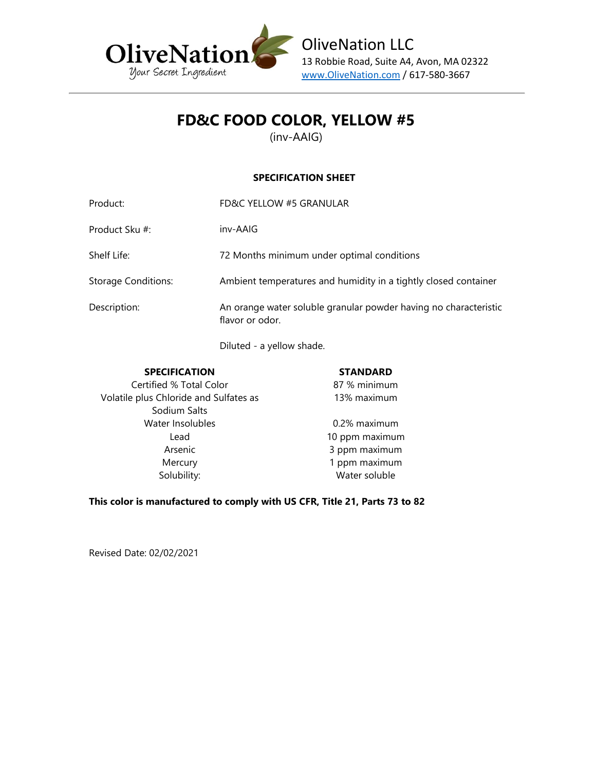

## **FD&C FOOD COLOR, YELLOW #5**

(inv-AAIG)

#### **SPECIFICATION SHEET**

| Product:                   | FD&C YELLOW #5 GRANULAR                                                             |
|----------------------------|-------------------------------------------------------------------------------------|
| Product Sku #:             | inv-AAIG                                                                            |
| Shelf Life:                | 72 Months minimum under optimal conditions                                          |
| <b>Storage Conditions:</b> | Ambient temperatures and humidity in a tightly closed container                     |
| Description:               | An orange water soluble granular powder having no characteristic<br>flavor or odor. |

Diluted - a yellow shade.

| <b>SPECIFICATION</b>                   | <b>STANDARD</b> |
|----------------------------------------|-----------------|
| Certified % Total Color                | 87 % minimum    |
| Volatile plus Chloride and Sulfates as | 13% maximum     |
| Sodium Salts                           |                 |
| Water Insolubles                       | 0.2% maximum    |
| Lead                                   | 10 ppm maximum  |
| Arsenic                                | 3 ppm maximum   |
| Mercury                                | 1 ppm maximum   |
| Solubility:                            | Water soluble   |

**This color is manufactured to comply with US CFR, Title 21, Parts 73 to 82**

Revised Date: 02/02/2021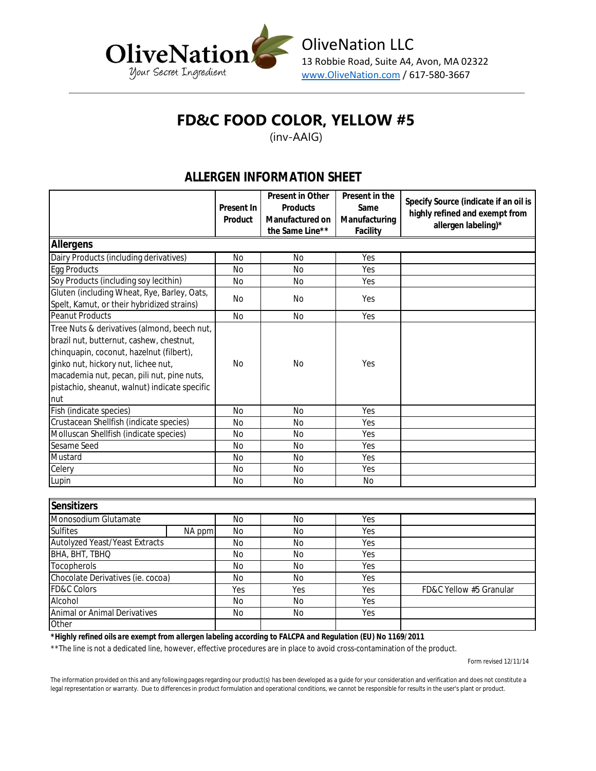

# **FD&C FOOD COLOR, YELLOW #5**

(inv-AAIG)

### **ALLERGEN INFORMATION SHEET**

|                                                                                                                                                                                                                                                                                  | Present In<br>Product | Present in Other | Present in the |                                       |
|----------------------------------------------------------------------------------------------------------------------------------------------------------------------------------------------------------------------------------------------------------------------------------|-----------------------|------------------|----------------|---------------------------------------|
|                                                                                                                                                                                                                                                                                  |                       | Products         | Same           | Specify Source (indicate if an oil is |
|                                                                                                                                                                                                                                                                                  |                       | Manufactured on  | Manufacturing  | highly refined and exempt from        |
|                                                                                                                                                                                                                                                                                  |                       | the Same Line**  | Facility       | allergen labeling)*                   |
| Allergens                                                                                                                                                                                                                                                                        |                       |                  |                |                                       |
| Dairy Products (including derivatives)                                                                                                                                                                                                                                           | <b>No</b>             | <b>No</b>        | Yes            |                                       |
| <b>Egg Products</b>                                                                                                                                                                                                                                                              | <b>No</b>             | <b>No</b>        | Yes            |                                       |
| Soy Products (including soy lecithin)                                                                                                                                                                                                                                            | <b>No</b>             | <b>No</b>        | Yes            |                                       |
| Gluten (including Wheat, Rye, Barley, Oats,<br>Spelt, Kamut, or their hybridized strains)                                                                                                                                                                                        | No                    | No               | Yes            |                                       |
| <b>Peanut Products</b>                                                                                                                                                                                                                                                           | <b>No</b>             | <b>No</b>        | Yes            |                                       |
| Tree Nuts & derivatives (almond, beech nut,<br>brazil nut, butternut, cashew, chestnut,<br>chinquapin, coconut, hazelnut (filbert),<br>ginko nut, hickory nut, lichee nut,<br>macademia nut, pecan, pili nut, pine nuts,<br>pistachio, sheanut, walnut) indicate specific<br>nut | <b>No</b>             | <b>No</b>        | Yes            |                                       |
| Fish (indicate species)                                                                                                                                                                                                                                                          | <b>No</b>             | <b>No</b>        | Yes            |                                       |
| Crustacean Shellfish (indicate species)                                                                                                                                                                                                                                          | <b>No</b>             | <b>No</b>        | Yes            |                                       |
| Molluscan Shellfish (indicate species)                                                                                                                                                                                                                                           | <b>No</b>             | <b>No</b>        | Yes            |                                       |
| Sesame Seed                                                                                                                                                                                                                                                                      | <b>No</b>             | <b>No</b>        | Yes            |                                       |
| Mustard                                                                                                                                                                                                                                                                          | <b>No</b>             | <b>No</b>        | Yes            |                                       |
| Celery                                                                                                                                                                                                                                                                           | <b>No</b>             | No               | Yes            |                                       |
| Lupin                                                                                                                                                                                                                                                                            | <b>No</b>             | <b>No</b>        | <b>No</b>      |                                       |
|                                                                                                                                                                                                                                                                                  |                       |                  |                |                                       |
| Sensitizers                                                                                                                                                                                                                                                                      |                       |                  |                |                                       |
| Monosodium Glutamate                                                                                                                                                                                                                                                             | <b>No</b>             | <b>No</b>        | Yes            |                                       |
| <b>Sulfites</b><br>NA ppm                                                                                                                                                                                                                                                        | <b>No</b>             | <b>No</b>        | Yes            |                                       |
| <b>Autolyzed Yeast/Yeast Extracts</b>                                                                                                                                                                                                                                            | <b>No</b>             | No               | Yes            |                                       |
| BHA, BHT, TBHQ                                                                                                                                                                                                                                                                   | <b>No</b>             | <b>No</b>        | Yes            |                                       |
| Tocopherols                                                                                                                                                                                                                                                                      | <b>No</b>             | <b>No</b>        | Yes            |                                       |
| Chocolate Derivatives (ie. cocoa)                                                                                                                                                                                                                                                | <b>No</b>             | <b>No</b>        | Yes            |                                       |

Animal or Animal Derivatives **Other** 

FD&C Colors Alcohol

*\*Highly refined oils are exempt from allergen labeling according to FALCPA and Regulation (EU) No 1169/2011*

\*\*The line is not a dedicated line, however, effective procedures are in place to avoid cross-contamination of the product.

Form revised 12/11/14

The information provided on this and any following pages regarding our product(s) has been developed as a guide for your consideration and verification and does not constitute a legal representation or warranty. Due to differences in product formulation and operational conditions, we cannot be responsible for results in the user's plant or product.

No No Yes No No Yes

Yes | Yes | Yes | Yes | FD&C Yellow #5 Granular